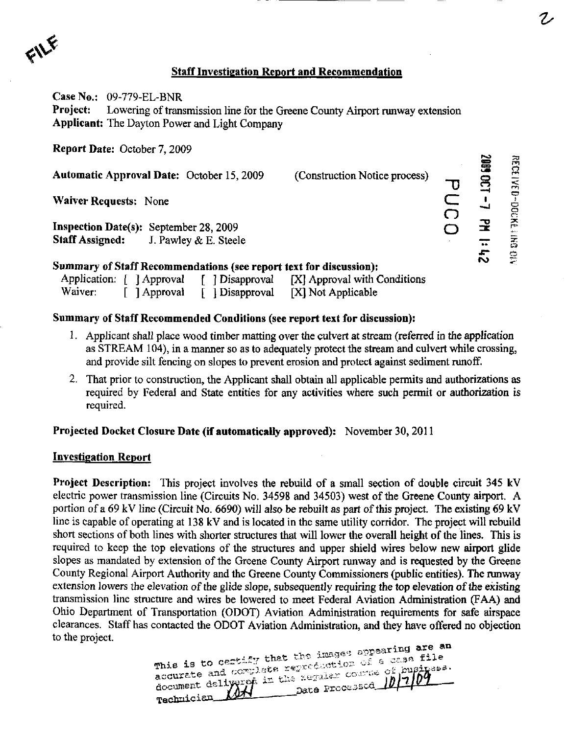$f \vee f$ 

## Staff Investigation Report and Recommendation

Case No.: 09-779-EL-BNR Project: Lowering of transmission line for the Greene County Airport runway extension Applicant: The Dayton Power and Light Company

Report Date: October 7, 2009

| Automatic Approval Date: October 15, 2009                          | (Construction Notice process)                |    | 문<br>$\overline{3}$ |
|--------------------------------------------------------------------|----------------------------------------------|----|---------------------|
| <b>Waiver Requests: None</b>                                       |                                              |    | ⇔                   |
| <b>Inspection Date(s):</b> September 28, 2009                      |                                              |    | <b>DOCNE</b>        |
| <b>Staff Assigned:</b> J. Pawley & E. Steele                       |                                              |    | $\Xi$               |
| Summary of Staff Recommendations (see report text for discussion): |                                              | おい | €.                  |
| Application: [ ] Approval                                          | [ ] Disapproval [X] Approval with Conditions |    |                     |

## Summary of Staff Recommended Conditions (see report text for discussion):

Waiver: [ ] Approval [ ] Disapproval [X] Not Applicable

- 1. Applicant shall place wood timber matting over the culvert at stream (referred in the application as STREAM 104), in a manner so as to adequately protect the stream and culvert while crossing, and provide silt fencing on slopes to prevent erosion and protect against sediment runoff.
- 2. That prior to constmction, the Applicant shall obtain all applicable permits and authorizations as required by Federal and State entities for any activities where such permit or authorization is required.

## Projected Docket Closure Date (if automatically approved): November 30, 2011

## Investigation Report

Project Description: This project involves the rebuild of a small section of double circuit 345 kV electric power transmission line (Circuits No. 34598 and 34503) west of the Greene County airport. A portion of a 69 kV line (Circuit No. 6690) will also be rebuilt as part of this project. The existing 69 kV line is capable of operating at 138 kV and is located in the same utility corridor. The project will rebuild short sections of both lines with shorter stmctures that will lower the overall height of the lines. This is required to keep the top elevations of the structures and upper shield wires below new airport glide slopes as mandated by extension of the Greene County Airport runway and is requested by the Greene County Regional Airport Authority and the Greene County Commissioners (public entities). The runway extension lowers the elevation of the glide slope, subsequently requiring the top elevation of the existing transmission line stmcture and wires be lowered to meet Federal Aviation Administration (FAA) and Ohio Department of Transportation (ODOT) Aviation Administration requirements for safe airspace clearances. Staff has contacted the ODOT Aviation Administration, and they have offered no objection to the project.

, . ,,^". -...-^nearing are an  $+$ This 15 to c=12 and starser.com of a busi accurate and complete reproduction of a case file document delivered in the xeralex course of buginess.

 $\boldsymbol{\Xi}$